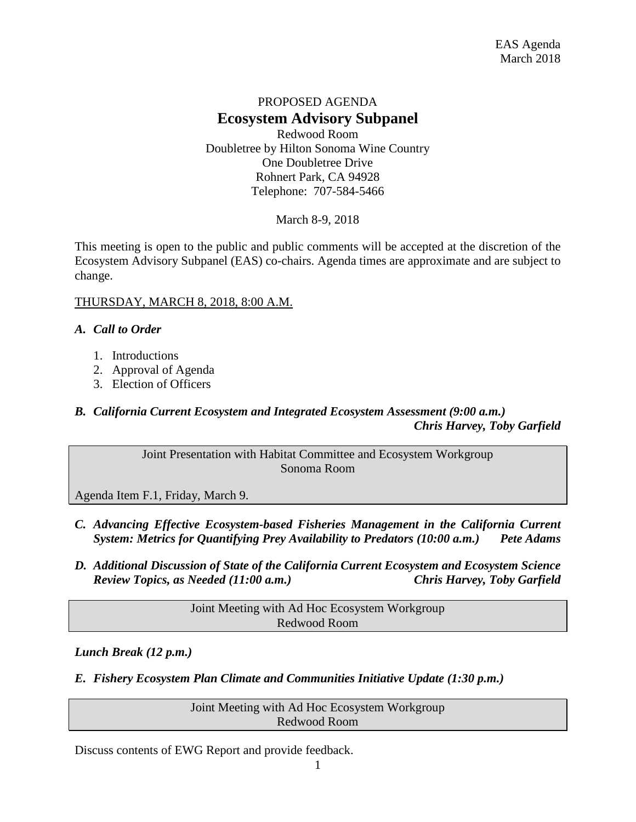### PROPOSED AGENDA **Ecosystem Advisory Subpanel** Redwood Room Doubletree by Hilton Sonoma Wine Country One Doubletree Drive

Rohnert Park, CA 94928 Telephone: 707-584-5466

March 8-9, 2018

This meeting is open to the public and public comments will be accepted at the discretion of the Ecosystem Advisory Subpanel (EAS) co-chairs. Agenda times are approximate and are subject to change.

#### THURSDAY, MARCH 8, 2018, 8:00 A.M.

#### *A. Call to Order*

- 1. Introductions
- 2. Approval of Agenda
- 3. Election of Officers

# *B. California Current Ecosystem and Integrated Ecosystem Assessment (9:00 a.m.) Chris Harvey, Toby Garfield*

Joint Presentation with Habitat Committee and Ecosystem Workgroup Sonoma Room

Agenda Item F.1, Friday, March 9.

- *C. Advancing Effective Ecosystem-based Fisheries Management in the California Current System: Metrics for Quantifying Prey Availability to Predators (10:00 a.m.) Pete Adams*
- *D. Additional Discussion of State of the California Current Ecosystem and Ecosystem Science Review Topics, as Needed (11:00 a.m.) Chris Harvey, Toby Garfield*

Joint Meeting with Ad Hoc Ecosystem Workgroup Redwood Room

*Lunch Break (12 p.m.)*

*E. Fishery Ecosystem Plan Climate and Communities Initiative Update (1:30 p.m.)*

Joint Meeting with Ad Hoc Ecosystem Workgroup Redwood Room

Discuss contents of EWG Report and provide feedback.